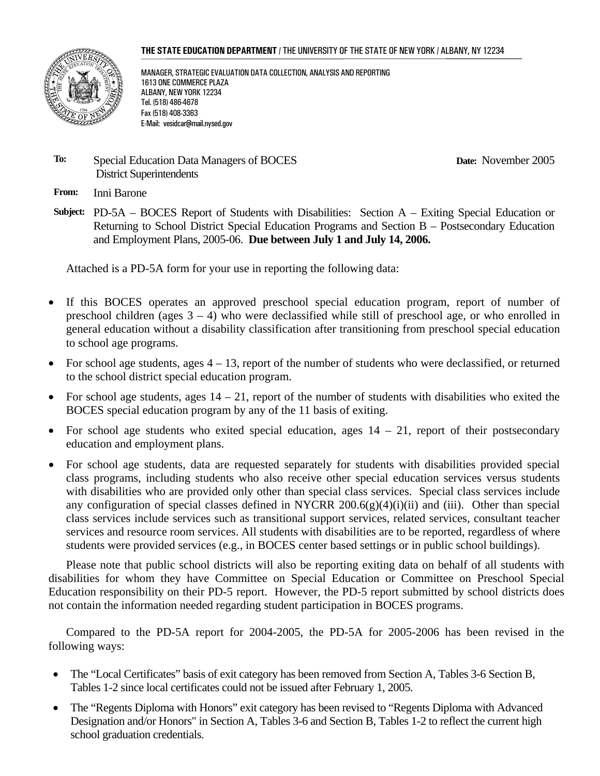#### **THE STATE EDUCATION DEPARTMENT** / THE UNIVERSITY OF THE STATE OF NEW YORK / ALBANY, NY 12234



MANAGER, STRATEGIC EVALUATION DATA COLLECTION, ANALYSIS AND REPORTING 1613 ONE COMMERCE PLAZA ALBANY, NEW YORK 12234 Tel. (518) 486-4678 Fax (518) 408-3363 E-Mail: vesidcar@mail.nysed.gov

#### **To:** Special Education Data Managers of BOCES District Superintendents

**Date:** November 2005

**From:** Inni Barone

**Subject:** PD-5A – BOCES Report of Students with Disabilities: Section A – Exiting Special Education or Returning to School District Special Education Programs and Section B – Postsecondary Education and Employment Plans, 2005-06. **Due between July 1 and July 14, 2006.** 

Attached is a PD-5A form for your use in reporting the following data:

- If this BOCES operates an approved preschool special education program, report of number of preschool children (ages  $3 - 4$ ) who were declassified while still of preschool age, or who enrolled in general education without a disability classification after transitioning from preschool special education to school age programs.
- For school age students, ages  $4 13$ , report of the number of students who were declassified, or returned to the school district special education program.
- For school age students, ages  $14 21$ , report of the number of students with disabilities who exited the BOCES special education program by any of the 11 basis of exiting.
- For school age students who exited special education, ages  $14 21$ , report of their postsecondary education and employment plans.
- For school age students, data are requested separately for students with disabilities provided special class programs, including students who also receive other special education services versus students with disabilities who are provided only other than special class services. Special class services include any configuration of special classes defined in NYCRR 200.6(g)(4)(i)(ii) and (iii). Other than special class services include services such as transitional support services, related services, consultant teacher services and resource room services. All students with disabilities are to be reported, regardless of where students were provided services (e.g., in BOCES center based settings or in public school buildings).

Please note that public school districts will also be reporting exiting data on behalf of all students with disabilities for whom they have Committee on Special Education or Committee on Preschool Special Education responsibility on their PD-5 report. However, the PD-5 report submitted by school districts does not contain the information needed regarding student participation in BOCES programs.

Compared to the PD-5A report for 2004-2005, the PD-5A for 2005-2006 has been revised in the following ways:

- The "Local Certificates" basis of exit category has been removed from Section A, Tables 3-6 Section B, Tables 1-2 since local certificates could not be issued after February 1, 2005.
- The "Regents Diploma with Honors" exit category has been revised to "Regents Diploma with Advanced Designation and/or Honors" in Section A, Tables 3-6 and Section B, Tables 1-2 to reflect the current high school graduation credentials.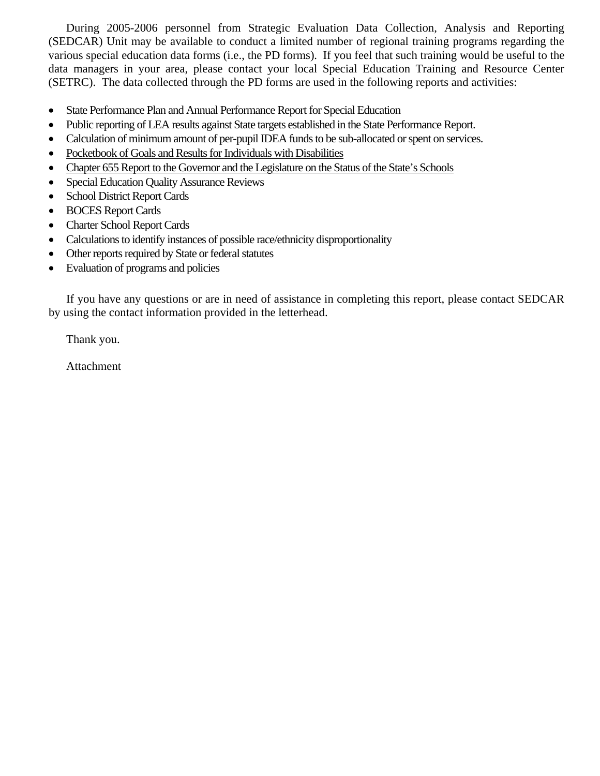During 2005-2006 personnel from Strategic Evaluation Data Collection, Analysis and Reporting (SEDCAR) Unit may be available to conduct a limited number of regional training programs regarding the various special education data forms (i.e., the PD forms). If you feel that such training would be useful to the data managers in your area, please contact your local Special Education Training and Resource Center (SETRC). The data collected through the PD forms are used in the following reports and activities:

- State Performance Plan and Annual Performance Report for Special Education
- Public reporting of LEA results against State targets established in the State Performance Report.
- Calculation of minimum amount of per-pupil IDEA funds to be sub-allocated or spent on services.
- Pocketbook of Goals and Results for Individuals with Disabilities
- Chapter 655 Report to the Governor and the Legislature on the Status of the State's Schools
- Special Education Quality Assurance Reviews
- School District Report Cards
- BOCES Report Cards
- Charter School Report Cards
- Calculations to identify instances of possible race/ethnicity disproportionality
- Other reports required by State or federal statutes
- Evaluation of programs and policies

If you have any questions or are in need of assistance in completing this report, please contact SEDCAR by using the contact information provided in the letterhead.

Thank you.

Attachment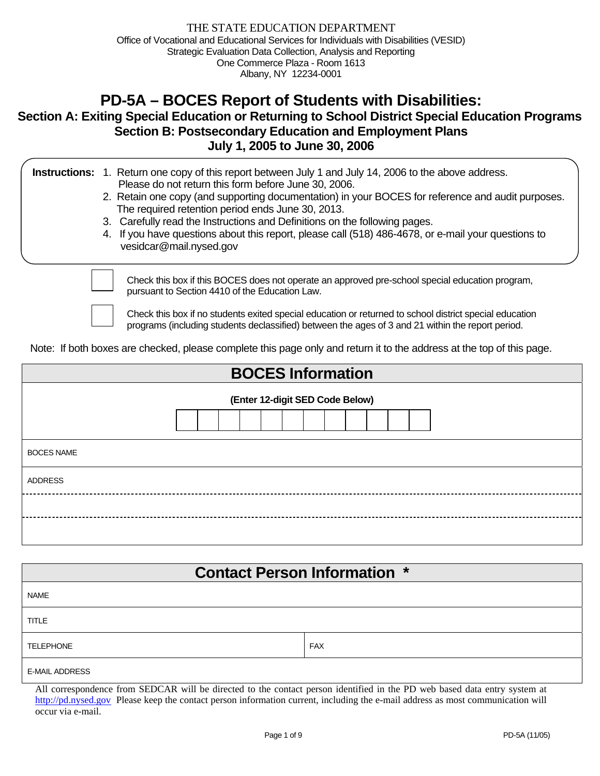# **PD-5A – BOCES Report of Students with Disabilities:**

## **Section A: Exiting Special Education or Returning to School District Special Education Programs Section B: Postsecondary Education and Employment Plans July 1, 2005 to June 30, 2006**

|  | <b>Instructions:</b> 1. Return one copy of this report between July 1 and July 14, 2006 to the above address. |
|--|---------------------------------------------------------------------------------------------------------------|
|  | Please do not return this form before June 30, 2006.                                                          |

- 2. Retain one copy (and supporting documentation) in your BOCES for reference and audit purposes. The required retention period ends June 30, 2013.
- 3. Carefully read the Instructions and Definitions on the following pages.
- 4. If you have questions about this report, please call (518) 486-4678, or e-mail your questions to vesidcar@mail.nysed.gov

Check this box if this BOCES does not operate an approved pre-school special education program, pursuant to Section 4410 of the Education Law.

Check this box if no students exited special education or returned to school district special education programs (including students declassified) between the ages of 3 and 21 within the report period.

Note: If both boxes are checked, please complete this page only and return it to the address at the top of this page.

| <b>BOCES Information</b>        |  |  |  |  |  |  |  |  |
|---------------------------------|--|--|--|--|--|--|--|--|
| (Enter 12-digit SED Code Below) |  |  |  |  |  |  |  |  |
| <b>BOCES NAME</b>               |  |  |  |  |  |  |  |  |
| <b>ADDRESS</b>                  |  |  |  |  |  |  |  |  |
|                                 |  |  |  |  |  |  |  |  |
|                                 |  |  |  |  |  |  |  |  |

| <b>Contact Person Information *</b> |            |  |  |  |  |  |  |  |
|-------------------------------------|------------|--|--|--|--|--|--|--|
| <b>NAME</b>                         |            |  |  |  |  |  |  |  |
| <b>TITLE</b>                        |            |  |  |  |  |  |  |  |
| <b>TELEPHONE</b>                    | <b>FAX</b> |  |  |  |  |  |  |  |
| <b>E-MAIL ADDRESS</b>               |            |  |  |  |  |  |  |  |

All correspondence from SEDCAR will be directed to the contact person identified in the PD web based data entry system at http://pd.nysed.gov Please keep the contact person information current, including the e-mail address as most communication will occur via e-mail.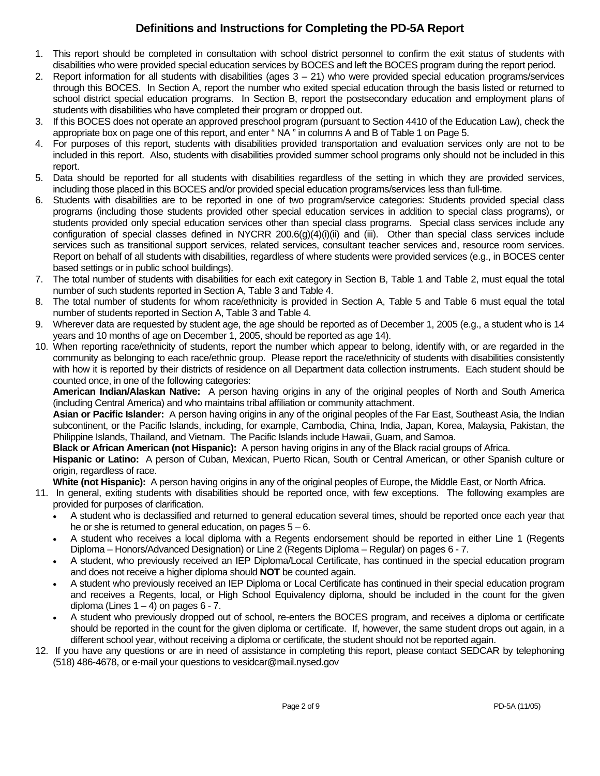# **Definitions and Instructions for Completing the PD-5A Report**

- 1. This report should be completed in consultation with school district personnel to confirm the exit status of students with disabilities who were provided special education services by BOCES and left the BOCES program during the report period.
- 2. Report information for all students with disabilities (ages  $3 21$ ) who were provided special education programs/services through this BOCES. In Section A, report the number who exited special education through the basis listed or returned to school district special education programs. In Section B, report the postsecondary education and employment plans of students with disabilities who have completed their program or dropped out.
- 3. If this BOCES does not operate an approved preschool program (pursuant to Section 4410 of the Education Law), check the appropriate box on page one of this report, and enter " NA " in columns A and B of Table 1 on Page 5.
- 4. For purposes of this report, students with disabilities provided transportation and evaluation services only are not to be included in this report. Also, students with disabilities provided summer school programs only should not be included in this report.
- 5. Data should be reported for all students with disabilities regardless of the setting in which they are provided services, including those placed in this BOCES and/or provided special education programs/services less than full-time.
- 6. Students with disabilities are to be reported in one of two program/service categories: Students provided special class programs (including those students provided other special education services in addition to special class programs), or students provided only special education services other than special class programs. Special class services include any configuration of special classes defined in NYCRR  $200.6(g)(4)(i)(ii)$  and (iii). Other than special class services include services such as transitional support services, related services, consultant teacher services and, resource room services. Report on behalf of all students with disabilities, regardless of where students were provided services (e.g., in BOCES center based settings or in public school buildings).
- 7. The total number of students with disabilities for each exit category in Section B, Table 1 and Table 2, must equal the total number of such students reported in Section A, Table 3 and Table 4.
- 8. The total number of students for whom race/ethnicity is provided in Section A, Table 5 and Table 6 must equal the total number of students reported in Section A, Table 3 and Table 4.
- 9. Wherever data are requested by student age, the age should be reported as of December 1, 2005 (e.g., a student who is 14 years and 10 months of age on December 1, 2005, should be reported as age 14).
- 10. When reporting race/ethnicity of students, report the number which appear to belong, identify with, or are regarded in the community as belonging to each race/ethnic group. Please report the race/ethnicity of students with disabilities consistently with how it is reported by their districts of residence on all Department data collection instruments. Each student should be counted once, in one of the following categories:

**American Indian/Alaskan Native:** A person having origins in any of the original peoples of North and South America (including Central America) and who maintains tribal affiliation or community attachment.

**Asian or Pacific Islander:** A person having origins in any of the original peoples of the Far East, Southeast Asia, the Indian subcontinent, or the Pacific Islands, including, for example, Cambodia, China, India, Japan, Korea, Malaysia, Pakistan, the Philippine Islands, Thailand, and Vietnam. The Pacific Islands include Hawaii, Guam, and Samoa.

**Black or African American (not Hispanic):** A person having origins in any of the Black racial groups of Africa.

**Hispanic or Latino:** A person of Cuban, Mexican, Puerto Rican, South or Central American, or other Spanish culture or origin, regardless of race.

**White (not Hispanic):** A person having origins in any of the original peoples of Europe, the Middle East, or North Africa.

- 11. In general, exiting students with disabilities should be reported once, with few exceptions. The following examples are provided for purposes of clarification.
	- A student who is declassified and returned to general education several times, should be reported once each year that he or she is returned to general education, on pages  $5 - 6$ .
	- A student who receives a local diploma with a Regents endorsement should be reported in either Line 1 (Regents Diploma – Honors/Advanced Designation) or Line 2 (Regents Diploma – Regular) on pages 6 - 7.
	- A student, who previously received an IEP Diploma/Local Certificate, has continued in the special education program and does not receive a higher diploma should **NOT** be counted again.
	- A student who previously received an IEP Diploma or Local Certificate has continued in their special education program and receives a Regents, local, or High School Equivalency diploma, should be included in the count for the given diploma (Lines  $1 - 4$ ) on pages  $6 - 7$ .
	- A student who previously dropped out of school, re-enters the BOCES program, and receives a diploma or certificate should be reported in the count for the given diploma or certificate. If, however, the same student drops out again, in a different school year, without receiving a diploma or certificate, the student should not be reported again.
- 12. If you have any questions or are in need of assistance in completing this report, please contact SEDCAR by telephoning (518) 486-4678, or e-mail your questions to vesidcar@mail.nysed.gov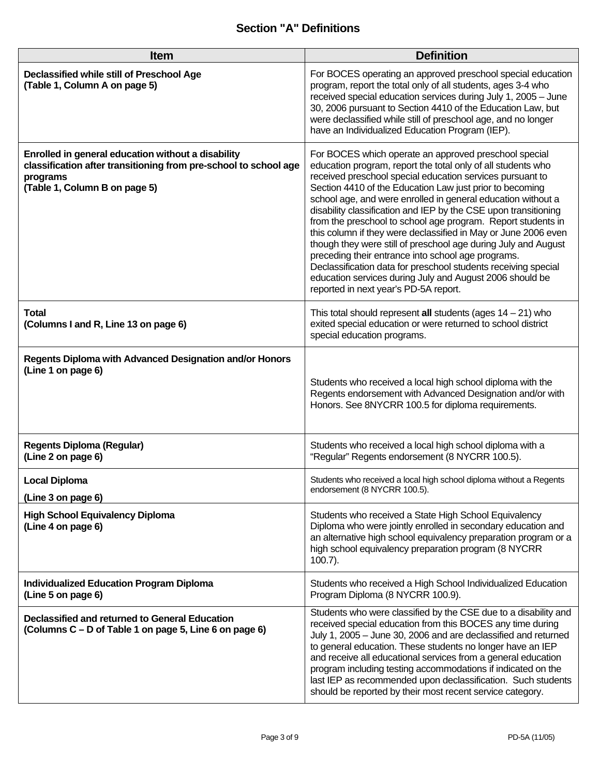# **Section "A" Definitions**

| <b>Item</b>                                                                                                                                                         | <b>Definition</b>                                                                                                                                                                                                                                                                                                                                                                                                                                                                                                                                                                                                                                                                                                                                                                                                  |
|---------------------------------------------------------------------------------------------------------------------------------------------------------------------|--------------------------------------------------------------------------------------------------------------------------------------------------------------------------------------------------------------------------------------------------------------------------------------------------------------------------------------------------------------------------------------------------------------------------------------------------------------------------------------------------------------------------------------------------------------------------------------------------------------------------------------------------------------------------------------------------------------------------------------------------------------------------------------------------------------------|
| Declassified while still of Preschool Age<br>(Table 1, Column A on page 5)                                                                                          | For BOCES operating an approved preschool special education<br>program, report the total only of all students, ages 3-4 who<br>received special education services during July 1, 2005 - June<br>30, 2006 pursuant to Section 4410 of the Education Law, but<br>were declassified while still of preschool age, and no longer<br>have an Individualized Education Program (IEP).                                                                                                                                                                                                                                                                                                                                                                                                                                   |
| Enrolled in general education without a disability<br>classification after transitioning from pre-school to school age<br>programs<br>(Table 1, Column B on page 5) | For BOCES which operate an approved preschool special<br>education program, report the total only of all students who<br>received preschool special education services pursuant to<br>Section 4410 of the Education Law just prior to becoming<br>school age, and were enrolled in general education without a<br>disability classification and IEP by the CSE upon transitioning<br>from the preschool to school age program. Report students in<br>this column if they were declassified in May or June 2006 even<br>though they were still of preschool age during July and August<br>preceding their entrance into school age programs.<br>Declassification data for preschool students receiving special<br>education services during July and August 2006 should be<br>reported in next year's PD-5A report. |
| <b>Total</b><br>(Columns I and R, Line 13 on page 6)                                                                                                                | This total should represent all students (ages $14 - 21$ ) who<br>exited special education or were returned to school district<br>special education programs.                                                                                                                                                                                                                                                                                                                                                                                                                                                                                                                                                                                                                                                      |
| Regents Diploma with Advanced Designation and/or Honors<br>(Line 1 on page 6)                                                                                       | Students who received a local high school diploma with the<br>Regents endorsement with Advanced Designation and/or with<br>Honors. See 8NYCRR 100.5 for diploma requirements.                                                                                                                                                                                                                                                                                                                                                                                                                                                                                                                                                                                                                                      |
| <b>Regents Diploma (Regular)</b><br>(Line 2 on page 6)                                                                                                              | Students who received a local high school diploma with a<br>"Regular" Regents endorsement (8 NYCRR 100.5).                                                                                                                                                                                                                                                                                                                                                                                                                                                                                                                                                                                                                                                                                                         |
| <b>Local Diploma</b><br>(Line 3 on page 6)                                                                                                                          | Students who received a local high school diploma without a Regents<br>endorsement (8 NYCRR 100.5).                                                                                                                                                                                                                                                                                                                                                                                                                                                                                                                                                                                                                                                                                                                |
| <b>High School Equivalency Diploma</b><br>(Line 4 on page 6)                                                                                                        | Students who received a State High School Equivalency<br>Diploma who were jointly enrolled in secondary education and<br>an alternative high school equivalency preparation program or a<br>high school equivalency preparation program (8 NYCRR<br>$100.7$ ).                                                                                                                                                                                                                                                                                                                                                                                                                                                                                                                                                     |
| <b>Individualized Education Program Diploma</b><br>(Line 5 on page 6)                                                                                               | Students who received a High School Individualized Education<br>Program Diploma (8 NYCRR 100.9).                                                                                                                                                                                                                                                                                                                                                                                                                                                                                                                                                                                                                                                                                                                   |
| Declassified and returned to General Education<br>(Columns C – D of Table 1 on page 5, Line 6 on page 6)                                                            | Students who were classified by the CSE due to a disability and<br>received special education from this BOCES any time during<br>July 1, 2005 - June 30, 2006 and are declassified and returned<br>to general education. These students no longer have an IEP<br>and receive all educational services from a general education<br>program including testing accommodations if indicated on the<br>last IEP as recommended upon declassification. Such students<br>should be reported by their most recent service category.                                                                                                                                                                                                                                                                                        |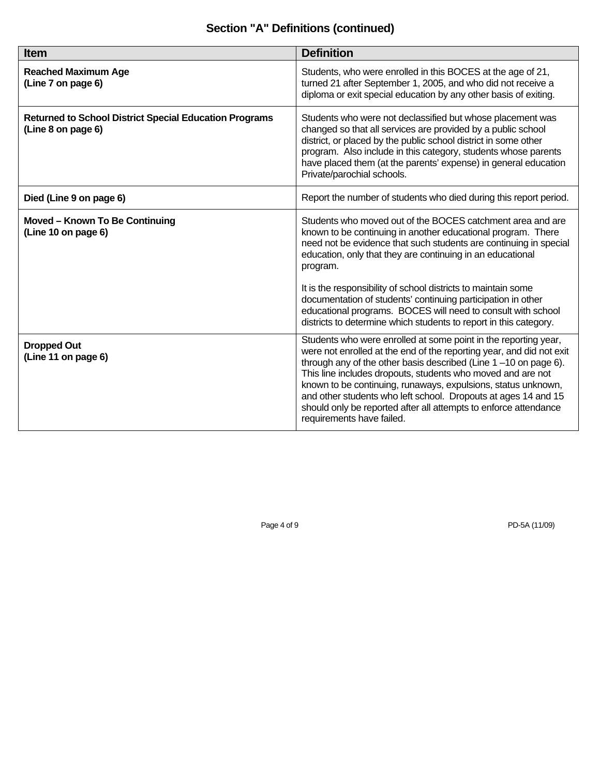# **Section "A" Definitions (continued)**

| <b>Item</b>                                                                         | <b>Definition</b>                                                                                                                                                                                                                                                                                                                                                                                                                                                                                                 |
|-------------------------------------------------------------------------------------|-------------------------------------------------------------------------------------------------------------------------------------------------------------------------------------------------------------------------------------------------------------------------------------------------------------------------------------------------------------------------------------------------------------------------------------------------------------------------------------------------------------------|
| <b>Reached Maximum Age</b><br>(Line 7 on page 6)                                    | Students, who were enrolled in this BOCES at the age of 21,<br>turned 21 after September 1, 2005, and who did not receive a<br>diploma or exit special education by any other basis of exiting.                                                                                                                                                                                                                                                                                                                   |
| <b>Returned to School District Special Education Programs</b><br>(Line 8 on page 6) | Students who were not declassified but whose placement was<br>changed so that all services are provided by a public school<br>district, or placed by the public school district in some other<br>program. Also include in this category, students whose parents<br>have placed them (at the parents' expense) in general education<br>Private/parochial schools.                                                                                                                                                  |
| Died (Line 9 on page 6)                                                             | Report the number of students who died during this report period.                                                                                                                                                                                                                                                                                                                                                                                                                                                 |
| Moved - Known To Be Continuing<br>(Line 10 on page 6)                               | Students who moved out of the BOCES catchment area and are<br>known to be continuing in another educational program. There<br>need not be evidence that such students are continuing in special<br>education, only that they are continuing in an educational<br>program.                                                                                                                                                                                                                                         |
|                                                                                     | It is the responsibility of school districts to maintain some<br>documentation of students' continuing participation in other<br>educational programs. BOCES will need to consult with school<br>districts to determine which students to report in this category.                                                                                                                                                                                                                                                |
| <b>Dropped Out</b><br>(Line 11 on page 6)                                           | Students who were enrolled at some point in the reporting year,<br>were not enrolled at the end of the reporting year, and did not exit<br>through any of the other basis described (Line $1 - 10$ on page 6).<br>This line includes dropouts, students who moved and are not<br>known to be continuing, runaways, expulsions, status unknown,<br>and other students who left school. Dropouts at ages 14 and 15<br>should only be reported after all attempts to enforce attendance<br>requirements have failed. |

Page 4 of 9 PD-5A (11/09)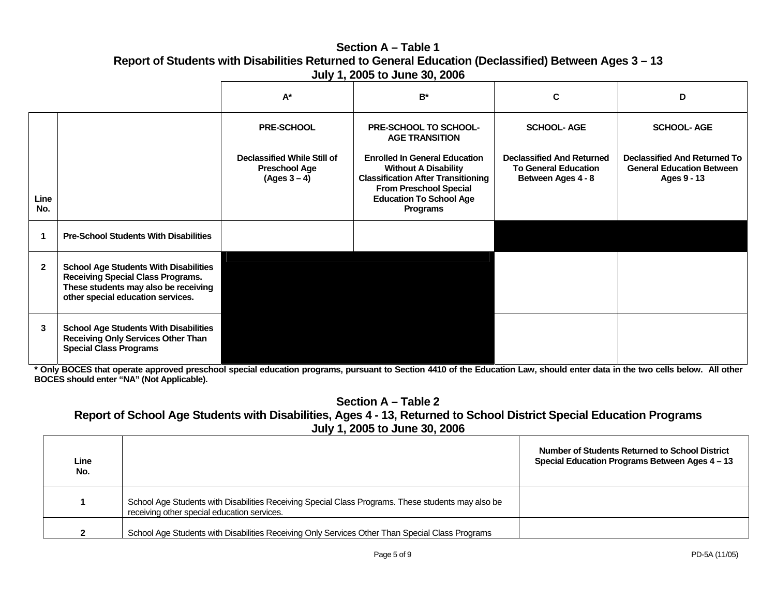### **Section A – Table 1Report of Students with Disabilities Returned to General Education (Declassified) Between Ages 3 – 13 July 1, 2005 to June 30, 2006**

|              |                                                                                                                                                                       | $A^*$                                                                        | $B^*$                                                                                                                                                                                           | C                                                                                     | D                                                                                      |
|--------------|-----------------------------------------------------------------------------------------------------------------------------------------------------------------------|------------------------------------------------------------------------------|-------------------------------------------------------------------------------------------------------------------------------------------------------------------------------------------------|---------------------------------------------------------------------------------------|----------------------------------------------------------------------------------------|
|              |                                                                                                                                                                       | <b>PRE-SCHOOL</b>                                                            | PRE-SCHOOL TO SCHOOL-<br><b>AGE TRANSITION</b>                                                                                                                                                  | <b>SCHOOL-AGE</b>                                                                     | <b>SCHOOL-AGE</b>                                                                      |
| Line<br>No.  |                                                                                                                                                                       | <b>Declassified While Still of</b><br><b>Preschool Age</b><br>$(Ages 3 - 4)$ | <b>Enrolled In General Education</b><br><b>Without A Disability</b><br><b>Classification After Transitioning</b><br><b>From Preschool Special</b><br><b>Education To School Age</b><br>Programs | <b>Declassified And Returned</b><br><b>To General Education</b><br>Between Ages 4 - 8 | <b>Declassified And Returned To</b><br><b>General Education Between</b><br>Ages 9 - 13 |
|              | <b>Pre-School Students With Disabilities</b>                                                                                                                          |                                                                              |                                                                                                                                                                                                 |                                                                                       |                                                                                        |
| $\mathbf{2}$ | <b>School Age Students With Disabilities</b><br><b>Receiving Special Class Programs.</b><br>These students may also be receiving<br>other special education services. |                                                                              |                                                                                                                                                                                                 |                                                                                       |                                                                                        |
| 3            | <b>School Age Students With Disabilities</b><br><b>Receiving Only Services Other Than</b><br><b>Special Class Programs</b>                                            |                                                                              |                                                                                                                                                                                                 |                                                                                       |                                                                                        |

**\* Only BOCES that operate approved preschool special education programs, pursuant to Section 4410 of the Education Law, should enter data in the two cells below. All other BOCES should enter "NA" (Not Applicable).** 

**Section A – Table 2** 

## **Report of School Age Students with Disabilities, Ages 4 - 13, Returned to School District Special Education Programs July 1, 2005 to June 30, 2006**

| Line<br>No. |                                                                                                                                                   | Number of Students Returned to School District<br>Special Education Programs Between Ages 4 – 13 |
|-------------|---------------------------------------------------------------------------------------------------------------------------------------------------|--------------------------------------------------------------------------------------------------|
|             | School Age Students with Disabilities Receiving Special Class Programs. These students may also be<br>receiving other special education services. |                                                                                                  |
| ົ           | School Age Students with Disabilities Receiving Only Services Other Than Special Class Programs                                                   |                                                                                                  |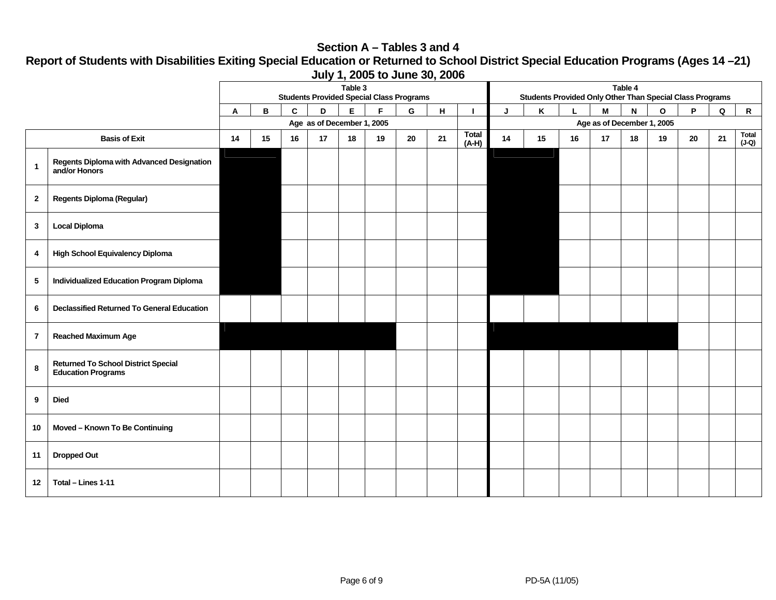#### **Section A – Tables 3 and 4**

**Report of Students with Disabilities Exiting Special Education or Returned to School District Special Education Programs (Ages 14 –21) July 1, 2005 to June 30, 2006** 

|                 |                                                                         | Table 3<br><b>Students Provided Special Class Programs</b> |    |              |    |    |             |    | Table 4<br>Students Provided Only Other Than Special Class Programs |                            |    |    |    |    |              |              |    |             |                  |
|-----------------|-------------------------------------------------------------------------|------------------------------------------------------------|----|--------------|----|----|-------------|----|---------------------------------------------------------------------|----------------------------|----|----|----|----|--------------|--------------|----|-------------|------------------|
|                 |                                                                         | Α                                                          | В  | $\mathbf{C}$ | D  | E. | $\mathsf F$ | G  | н                                                                   |                            | J  | Κ  |    | M  | $\mathsf{N}$ | $\mathbf{o}$ | P  | $\mathsf Q$ | $\mathsf{R}$     |
|                 |                                                                         | Age as of December 1, 2005                                 |    |              |    |    |             |    |                                                                     | Age as of December 1, 2005 |    |    |    |    |              |              |    |             |                  |
|                 | <b>Basis of Exit</b>                                                    | 14                                                         | 15 | 16           | 17 | 18 | 19          | 20 | 21                                                                  | <b>Total</b><br>$(A-H)$    | 14 | 15 | 16 | 17 | 18           | 19           | 20 | 21          | Total<br>$(J-Q)$ |
| $\overline{1}$  | Regents Diploma with Advanced Designation<br>and/or Honors              |                                                            |    |              |    |    |             |    |                                                                     |                            |    |    |    |    |              |              |    |             |                  |
| $\overline{2}$  | <b>Regents Diploma (Regular)</b>                                        |                                                            |    |              |    |    |             |    |                                                                     |                            |    |    |    |    |              |              |    |             |                  |
| $\mathbf{3}$    | <b>Local Diploma</b>                                                    |                                                            |    |              |    |    |             |    |                                                                     |                            |    |    |    |    |              |              |    |             |                  |
| 4               | <b>High School Equivalency Diploma</b>                                  |                                                            |    |              |    |    |             |    |                                                                     |                            |    |    |    |    |              |              |    |             |                  |
| $5\phantom{.0}$ | Individualized Education Program Diploma                                |                                                            |    |              |    |    |             |    |                                                                     |                            |    |    |    |    |              |              |    |             |                  |
| 6               | <b>Declassified Returned To General Education</b>                       |                                                            |    |              |    |    |             |    |                                                                     |                            |    |    |    |    |              |              |    |             |                  |
| $\overline{7}$  | <b>Reached Maximum Age</b>                                              |                                                            |    |              |    |    |             |    |                                                                     |                            |    |    |    |    |              |              |    |             |                  |
| 8               | <b>Returned To School District Special</b><br><b>Education Programs</b> |                                                            |    |              |    |    |             |    |                                                                     |                            |    |    |    |    |              |              |    |             |                  |
| 9               | <b>Died</b>                                                             |                                                            |    |              |    |    |             |    |                                                                     |                            |    |    |    |    |              |              |    |             |                  |
| 10              | Moved - Known To Be Continuing                                          |                                                            |    |              |    |    |             |    |                                                                     |                            |    |    |    |    |              |              |    |             |                  |
| 11              | <b>Dropped Out</b>                                                      |                                                            |    |              |    |    |             |    |                                                                     |                            |    |    |    |    |              |              |    |             |                  |
| 12              | Total - Lines 1-11                                                      |                                                            |    |              |    |    |             |    |                                                                     |                            |    |    |    |    |              |              |    |             |                  |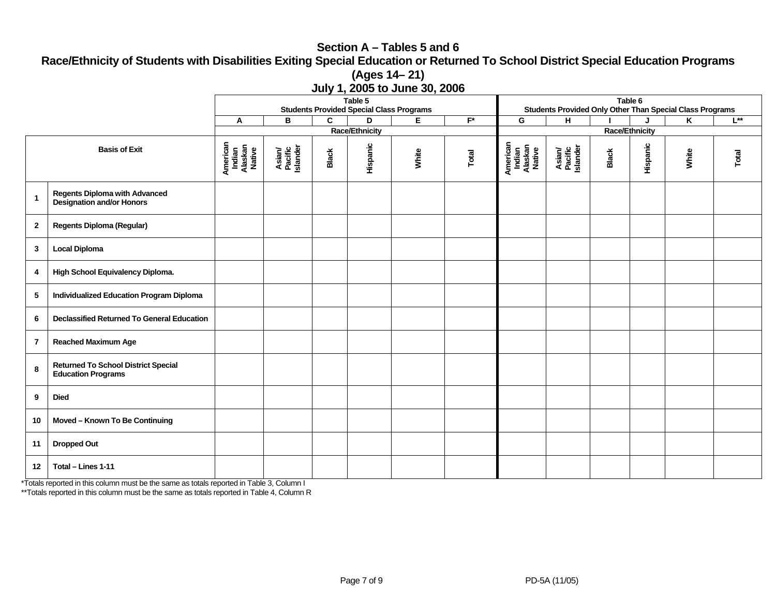#### **Section A – Tables 5 and 6 Race/Ethnicity of Students with Disabilities Exiting Special Education or Returned To School District Special Education Programs (Ages 14– 21) July 1, 2005 to June 30, 2006**

|                |                                                                         | $\frac{1}{2}$ , $\frac{1}{2}$ , $\frac{1}{2}$ , $\frac{1}{2}$ , $\frac{1}{2}$ , $\frac{1}{2}$ , $\frac{1}{2}$ , $\frac{1}{2}$ , $\frac{1}{2}$<br>Table 5<br><b>Students Provided Special Class Programs</b> |                               |       |                       |                |                       |                                         | Table 6<br>Students Provided Only Other Than Special Class Programs |              |          |                         |          |  |  |  |
|----------------|-------------------------------------------------------------------------|-------------------------------------------------------------------------------------------------------------------------------------------------------------------------------------------------------------|-------------------------------|-------|-----------------------|----------------|-----------------------|-----------------------------------------|---------------------------------------------------------------------|--------------|----------|-------------------------|----------|--|--|--|
|                |                                                                         | A                                                                                                                                                                                                           | В                             | C     | D                     | $\overline{E}$ | $F^*$                 | G                                       | н                                                                   |              | J        | $\overline{\mathsf{K}}$ | $L^{**}$ |  |  |  |
|                |                                                                         |                                                                                                                                                                                                             |                               |       | <b>Race/Ethnicity</b> |                | <b>Race/Ethnicity</b> |                                         |                                                                     |              |          |                         |          |  |  |  |
|                | <b>Basis of Exit</b>                                                    | American<br>Indian<br>Alaskan<br>Native                                                                                                                                                                     | Asian/<br>Pacific<br>Islander | Black | Hispanic              | White          | Total                 | American<br>Indian<br>Alaskan<br>Native | Asian/<br>Pacific<br>Islander                                       | <b>Black</b> | Hispanic | White                   | Total    |  |  |  |
| $\mathbf{1}$   | <b>Regents Diploma with Advanced</b><br>Designation and/or Honors       |                                                                                                                                                                                                             |                               |       |                       |                |                       |                                         |                                                                     |              |          |                         |          |  |  |  |
| $\mathbf{2}$   | <b>Regents Diploma (Regular)</b>                                        |                                                                                                                                                                                                             |                               |       |                       |                |                       |                                         |                                                                     |              |          |                         |          |  |  |  |
| $\mathbf{3}$   | <b>Local Diploma</b>                                                    |                                                                                                                                                                                                             |                               |       |                       |                |                       |                                         |                                                                     |              |          |                         |          |  |  |  |
| 4              | High School Equivalency Diploma.                                        |                                                                                                                                                                                                             |                               |       |                       |                |                       |                                         |                                                                     |              |          |                         |          |  |  |  |
| 5              | <b>Individualized Education Program Diploma</b>                         |                                                                                                                                                                                                             |                               |       |                       |                |                       |                                         |                                                                     |              |          |                         |          |  |  |  |
| 6              | <b>Declassified Returned To General Education</b>                       |                                                                                                                                                                                                             |                               |       |                       |                |                       |                                         |                                                                     |              |          |                         |          |  |  |  |
| $\overline{7}$ | <b>Reached Maximum Age</b>                                              |                                                                                                                                                                                                             |                               |       |                       |                |                       |                                         |                                                                     |              |          |                         |          |  |  |  |
| 8              | <b>Returned To School District Special</b><br><b>Education Programs</b> |                                                                                                                                                                                                             |                               |       |                       |                |                       |                                         |                                                                     |              |          |                         |          |  |  |  |
| 9              | <b>Died</b>                                                             |                                                                                                                                                                                                             |                               |       |                       |                |                       |                                         |                                                                     |              |          |                         |          |  |  |  |
| 10             | Moved - Known To Be Continuing                                          |                                                                                                                                                                                                             |                               |       |                       |                |                       |                                         |                                                                     |              |          |                         |          |  |  |  |
| 11             | <b>Dropped Out</b>                                                      |                                                                                                                                                                                                             |                               |       |                       |                |                       |                                         |                                                                     |              |          |                         |          |  |  |  |
| 12             | Total - Lines 1-11                                                      |                                                                                                                                                                                                             |                               |       |                       |                |                       |                                         |                                                                     |              |          |                         |          |  |  |  |

\*Totals reported in this column must be the same as totals reported in Table 3, Column I

\*\*Totals reported in this column must be the same as totals reported in Table 4, Column R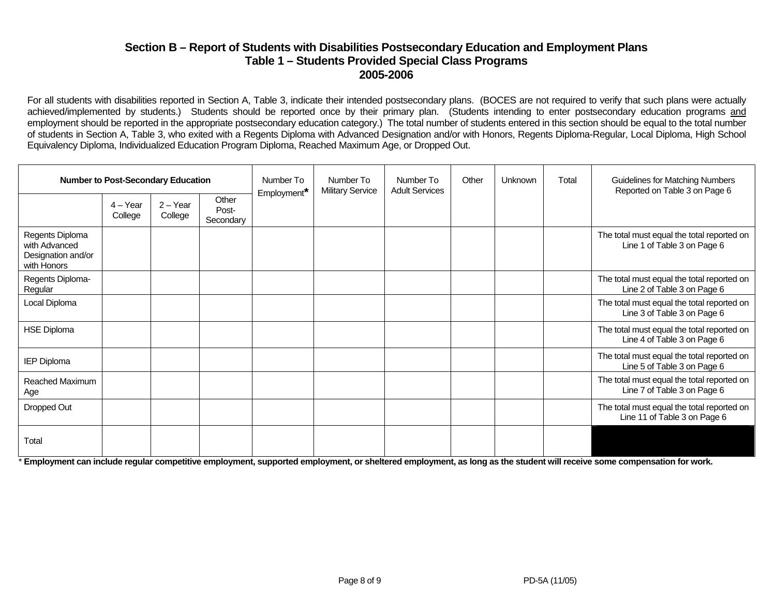#### **Section B – Report of Students with Disabilities Postsecondary Education and Employment Plans Table 1 – Students Provided Special Class Programs 2005-2006**

For all students with disabilities reported in Section A, Table 3, indicate their intended postsecondary plans. (BOCES are not required to verify that such plans were actually achieved/implemented by students.) Students should be reported once by their primary plan. (Students intending to enter postsecondary education programs and employment should be reported in the appropriate postsecondary education category.) The total number of students entered in this section should be equal to the total number of students in Section A, Table 3, who exited with a Regents Diploma with Advanced Designation and/or with Honors, Regents Diploma-Regular, Local Diploma, High School Equivalency Diploma, Individualized Education Program Diploma, Reached Maximum Age, or Dropped Out.

| <b>Number to Post-Secondary Education</b>                             |                       |                       |                             | Number To<br>Employment* | Number To<br><b>Military Service</b> | Number To<br><b>Adult Services</b> | Other | Unknown | Total | <b>Guidelines for Matching Numbers</b><br>Reported on Table 3 on Page 6    |
|-----------------------------------------------------------------------|-----------------------|-----------------------|-----------------------------|--------------------------|--------------------------------------|------------------------------------|-------|---------|-------|----------------------------------------------------------------------------|
|                                                                       | $4 - Year$<br>College | $2 - Year$<br>College | Other<br>Post-<br>Secondary |                          |                                      |                                    |       |         |       |                                                                            |
| Regents Diploma<br>with Advanced<br>Designation and/or<br>with Honors |                       |                       |                             |                          |                                      |                                    |       |         |       | The total must equal the total reported on<br>Line 1 of Table 3 on Page 6  |
| Regents Diploma-<br>Regular                                           |                       |                       |                             |                          |                                      |                                    |       |         |       | The total must equal the total reported on<br>Line 2 of Table 3 on Page 6  |
| Local Diploma                                                         |                       |                       |                             |                          |                                      |                                    |       |         |       | The total must equal the total reported on<br>Line 3 of Table 3 on Page 6  |
| <b>HSE Diploma</b>                                                    |                       |                       |                             |                          |                                      |                                    |       |         |       | The total must equal the total reported on<br>Line 4 of Table 3 on Page 6  |
| <b>IEP Diploma</b>                                                    |                       |                       |                             |                          |                                      |                                    |       |         |       | The total must equal the total reported on<br>Line 5 of Table 3 on Page 6  |
| Reached Maximum<br>Age                                                |                       |                       |                             |                          |                                      |                                    |       |         |       | The total must equal the total reported on<br>Line 7 of Table 3 on Page 6  |
| Dropped Out                                                           |                       |                       |                             |                          |                                      |                                    |       |         |       | The total must equal the total reported on<br>Line 11 of Table 3 on Page 6 |
| Total                                                                 |                       |                       |                             |                          |                                      |                                    |       |         |       |                                                                            |

\* **Employment can include regular competitive employment, supported employment, or sheltered employment, as long as the student will receive some compensation for work.**